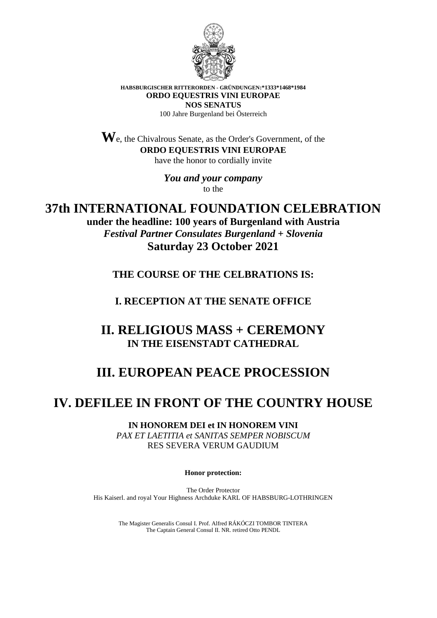

**HABSBURGISCHER RITTERORDEN - GRÜNDUNGEN:\*1333\*1468\*1984 ORDO EQUESTRIS VINI EUROPAE NOS SENATUS** 100 Jahre Burgenland bei Österreich

**W**e, the Chivalrous Senate, as the Order's Government, of the **ORDO EQUESTRIS VINI EUROPAE** have the honor to cordially invite

> *You and your company* to the

**37th INTERNATIONAL FOUNDATION CELEBRATION under the headline: 100 years of Burgenland with Austria** *Festival Partner Consulates Burgenland + Slovenia* **Saturday 23 October 2021**

**THE COURSE OF THE CELBRATIONS IS:**

**I. RECEPTION AT THE SENATE OFFICE**

**II. RELIGIOUS MASS + CEREMONY IN THE EISENSTADT CATHEDRAL**

## **III. EUROPEAN PEACE PROCESSION**

## **IV. DEFILEE IN FRONT OF THE COUNTRY HOUSE**

**IN HONOREM DEI et IN HONOREM VINI** *PAX ET LAETITIA et SANITAS SEMPER NOBISCUM* RES SEVERA VERUM GAUDIUM

**Honor protection:**

The Order Protector His Kaiserl. and royal Your Highness Archduke KARL OF HABSBURG-LOTHRINGEN

> The Magister Generalis Consul I. Prof. Alfred RÁKÓCZI TOMBOR TINTERA The Captain General Consul II. NR. retired Otto PENDL